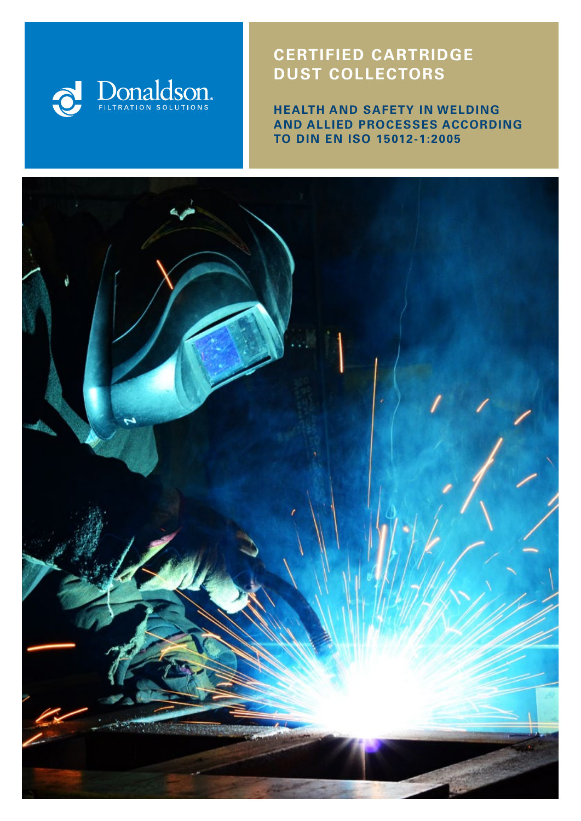

# **CERTIFIED CARTRIDGE DUST COLLECTORS**

**HEALTH AND SAFETY IN WELDING AND ALLIED PROCESSES ACCORDING TO DIN EN ISO 15012-1:2005**

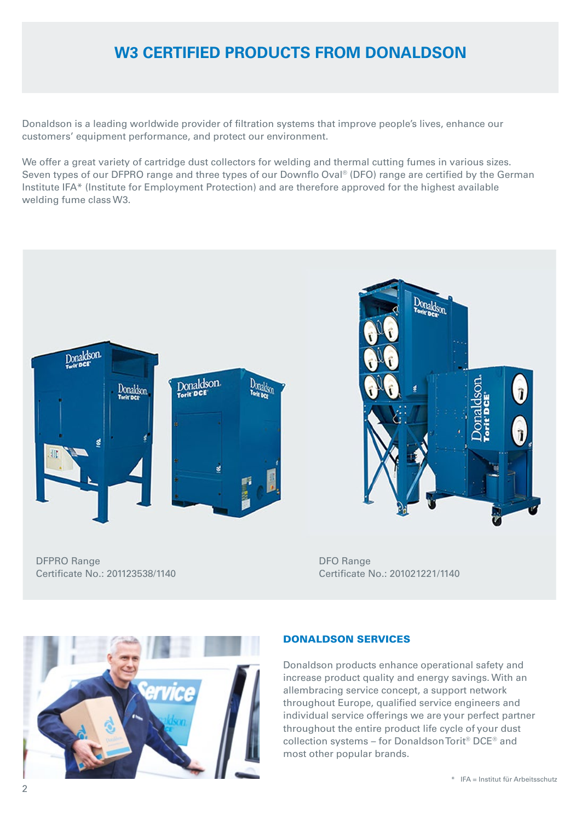# **W3 CERTIFIED PRODUCTS FROM DONALDSON**

Donaldson is a leading worldwide provider of filtration systems that improve people's lives, enhance our customers' equipment performance, and protect our environment.

We offer a great variety of cartridge dust collectors for welding and thermal cutting fumes in various sizes. Seven types of our DFPRO range and three types of our Downflo Oval® (DFO) range are certified by the German Institute IFA\* (Institute for Employment Protection) and are therefore approved for the highest available welding fume class W3.





DFPRO Range Certificate No.: 201123538/1140 DFO Range Certificate No.: 201021221/1140



### DONALDSON SERVICES

Donaldson products enhance operational safety and increase product quality and energy savings. With an allembracing service concept, a support network throughout Europe, qualified service engineers and individual service offerings we are your perfect partner throughout the entire product life cycle of your dust collection systems – for Donaldson Torit® DCE® and most other popular brands.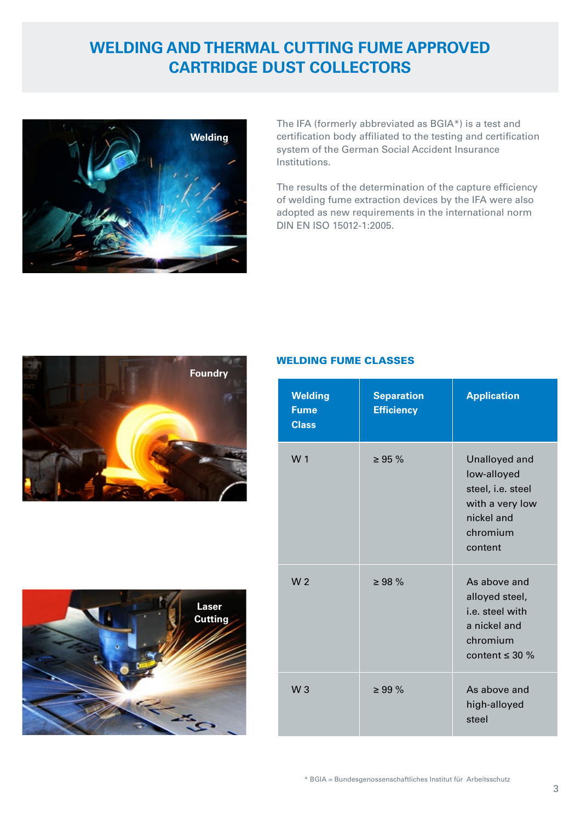# **WELDING AND THERMAL CUTTING FUME APPROVED CARTRIDGE DUST COLLECTORS**



The IFA (formerly abbreviated as BGIA\*) is a test and certification body affiliated to the testing and certification system of the German Social Accident Insurance Institutions.

The results of the determination of the capture efficiency of welding fume extraction devices by the IFA were also adopted as new requirements in the international norm DIN EN ISO 15012-1:2005.





## WELDING FUME CLASSES

| <b>Welding</b><br><b>Fume</b><br><b>Class</b> | <b>Separation</b><br><b>Efficiency</b> | <b>Application</b>                                                                                        |
|-----------------------------------------------|----------------------------------------|-----------------------------------------------------------------------------------------------------------|
| W 1                                           | $\geq$ 95 %                            | Unalloyed and<br>low-alloyed<br>steel, i.e. steel<br>with a very low<br>nickel and<br>chromium<br>content |
| W <sub>2</sub>                                | $\geq 98 \%$                           | As above and<br>alloyed steel,<br>i.e. steel with<br>a nickel and<br>chromium<br>content $\leq$ 30 %      |
| W <sub>3</sub>                                | $\geq 99 \%$                           | As above and<br>high-alloyed<br>steel                                                                     |